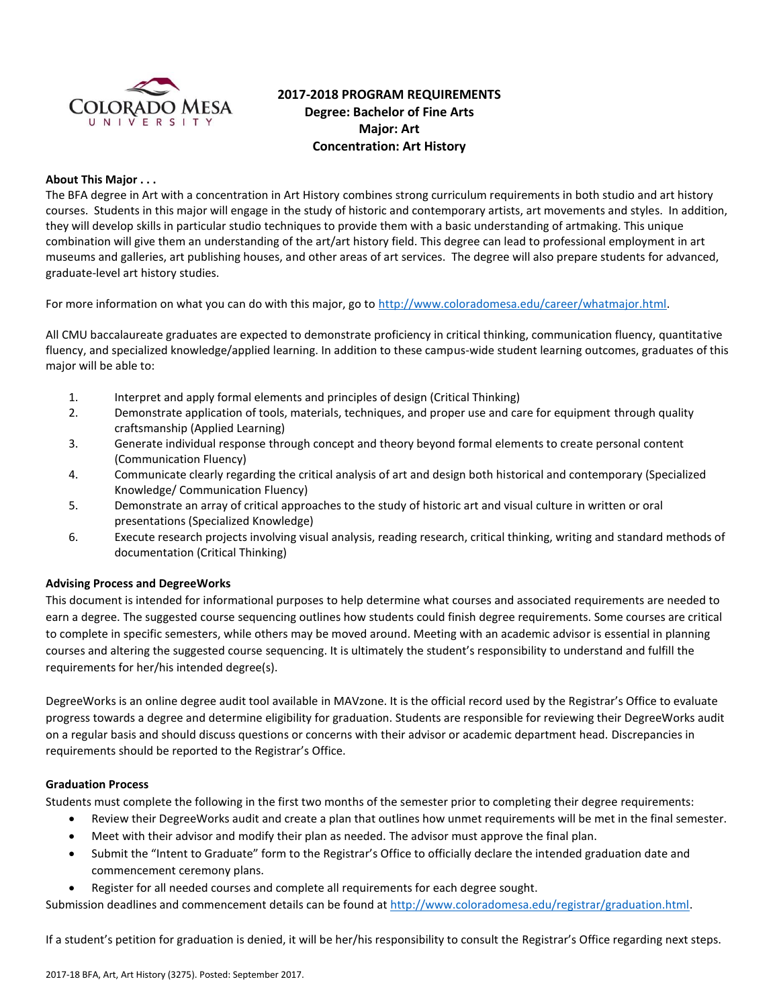

# **2017-2018 PROGRAM REQUIREMENTS Degree: Bachelor of Fine Arts Major: Art Concentration: Art History**

# **About This Major . . .**

The BFA degree in Art with a concentration in Art History combines strong curriculum requirements in both studio and art history courses. Students in this major will engage in the study of historic and contemporary artists, art movements and styles. In addition, they will develop skills in particular studio techniques to provide them with a basic understanding of artmaking. This unique combination will give them an understanding of the art/art history field. This degree can lead to professional employment in art museums and galleries, art publishing houses, and other areas of art services. The degree will also prepare students for advanced, graduate-level art history studies.

For more information on what you can do with this major, go to [http://www.coloradomesa.edu/career/whatmajor.html.](http://www.coloradomesa.edu/career/whatmajor.html)

All CMU baccalaureate graduates are expected to demonstrate proficiency in critical thinking, communication fluency, quantitative fluency, and specialized knowledge/applied learning. In addition to these campus-wide student learning outcomes, graduates of this major will be able to:

- 1. Interpret and apply formal elements and principles of design (Critical Thinking)
- 2. Demonstrate application of tools, materials, techniques, and proper use and care for equipment through quality craftsmanship (Applied Learning)
- 3. Generate individual response through concept and theory beyond formal elements to create personal content (Communication Fluency)
- 4. Communicate clearly regarding the critical analysis of art and design both historical and contemporary (Specialized Knowledge/ Communication Fluency)
- 5. Demonstrate an array of critical approaches to the study of historic art and visual culture in written or oral presentations (Specialized Knowledge)
- 6. Execute research projects involving visual analysis, reading research, critical thinking, writing and standard methods of documentation (Critical Thinking)

#### **Advising Process and DegreeWorks**

This document is intended for informational purposes to help determine what courses and associated requirements are needed to earn a degree. The suggested course sequencing outlines how students could finish degree requirements. Some courses are critical to complete in specific semesters, while others may be moved around. Meeting with an academic advisor is essential in planning courses and altering the suggested course sequencing. It is ultimately the student's responsibility to understand and fulfill the requirements for her/his intended degree(s).

DegreeWorks is an online degree audit tool available in MAVzone. It is the official record used by the Registrar's Office to evaluate progress towards a degree and determine eligibility for graduation. Students are responsible for reviewing their DegreeWorks audit on a regular basis and should discuss questions or concerns with their advisor or academic department head. Discrepancies in requirements should be reported to the Registrar's Office.

#### **Graduation Process**

Students must complete the following in the first two months of the semester prior to completing their degree requirements:

- Review their DegreeWorks audit and create a plan that outlines how unmet requirements will be met in the final semester.
- Meet with their advisor and modify their plan as needed. The advisor must approve the final plan.
- Submit the "Intent to Graduate" form to the Registrar's Office to officially declare the intended graduation date and commencement ceremony plans.
- Register for all needed courses and complete all requirements for each degree sought.

Submission deadlines and commencement details can be found at [http://www.coloradomesa.edu/registrar/graduation.html.](http://www.coloradomesa.edu/registrar/graduation.html)

If a student's petition for graduation is denied, it will be her/his responsibility to consult the Registrar's Office regarding next steps.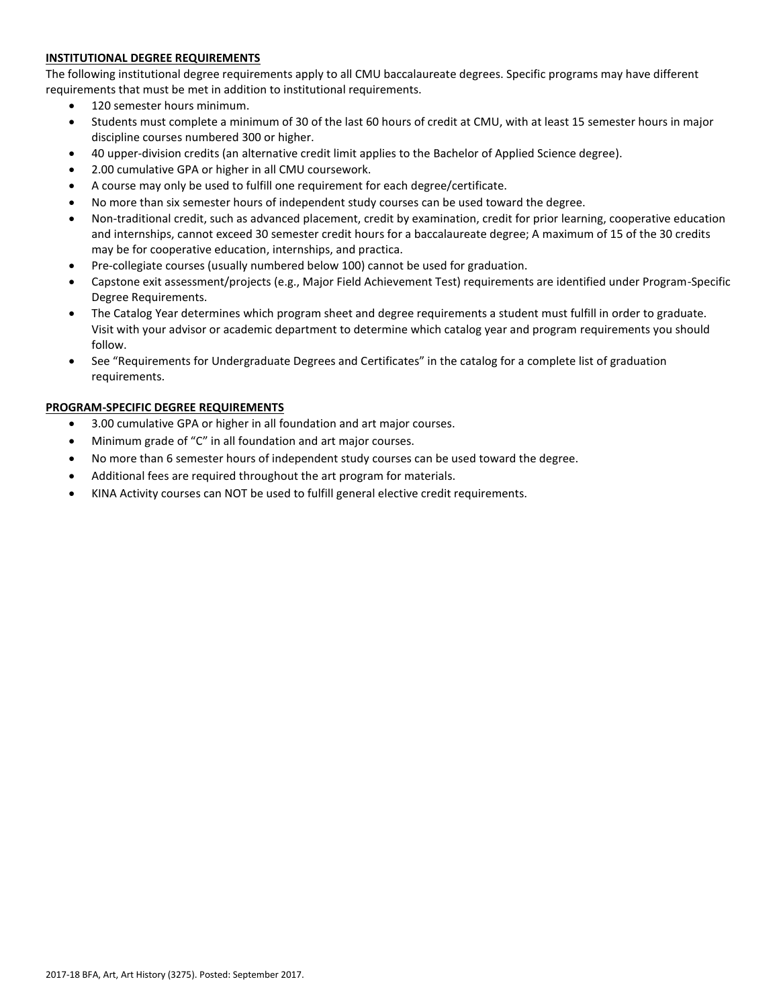# **INSTITUTIONAL DEGREE REQUIREMENTS**

The following institutional degree requirements apply to all CMU baccalaureate degrees. Specific programs may have different requirements that must be met in addition to institutional requirements.

- 120 semester hours minimum.
- Students must complete a minimum of 30 of the last 60 hours of credit at CMU, with at least 15 semester hours in major discipline courses numbered 300 or higher.
- 40 upper-division credits (an alternative credit limit applies to the Bachelor of Applied Science degree).
- 2.00 cumulative GPA or higher in all CMU coursework.
- A course may only be used to fulfill one requirement for each degree/certificate.
- No more than six semester hours of independent study courses can be used toward the degree.
- Non-traditional credit, such as advanced placement, credit by examination, credit for prior learning, cooperative education and internships, cannot exceed 30 semester credit hours for a baccalaureate degree; A maximum of 15 of the 30 credits may be for cooperative education, internships, and practica.
- Pre-collegiate courses (usually numbered below 100) cannot be used for graduation.
- Capstone exit assessment/projects (e.g., Major Field Achievement Test) requirements are identified under Program-Specific Degree Requirements.
- The Catalog Year determines which program sheet and degree requirements a student must fulfill in order to graduate. Visit with your advisor or academic department to determine which catalog year and program requirements you should follow.
- See "Requirements for Undergraduate Degrees and Certificates" in the catalog for a complete list of graduation requirements.

# **PROGRAM-SPECIFIC DEGREE REQUIREMENTS**

- 3.00 cumulative GPA or higher in all foundation and art major courses.
- Minimum grade of "C" in all foundation and art major courses.
- No more than 6 semester hours of independent study courses can be used toward the degree.
- Additional fees are required throughout the art program for materials.
- KINA Activity courses can NOT be used to fulfill general elective credit requirements.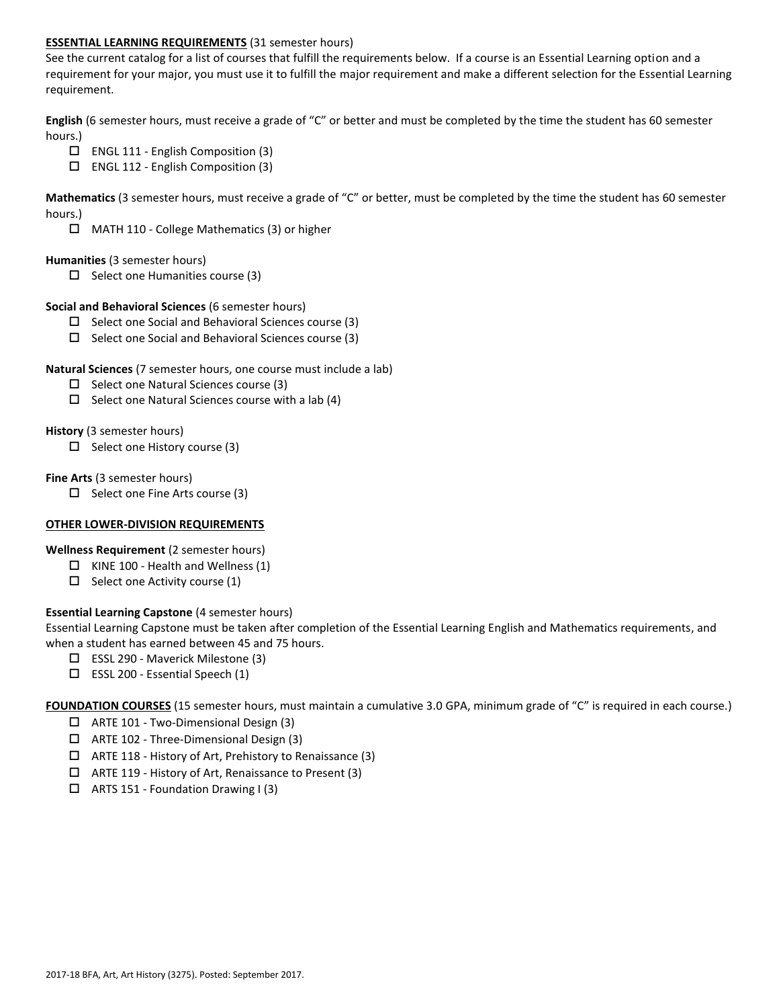# **ESSENTIAL LEARNING REQUIREMENTS** (31 semester hours)

See the current catalog for a list of courses that fulfill the requirements below. If a course is an Essential Learning option and a requirement for your major, you must use it to fulfill the major requirement and make a different selection for the Essential Learning requirement.

**English** (6 semester hours, must receive a grade of "C" or better and must be completed by the time the student has 60 semester hours.)

- ENGL 111 English Composition (3)
- $\Box$  ENGL 112 English Composition (3)

**Mathematics** (3 semester hours, must receive a grade of "C" or better, must be completed by the time the student has 60 semester hours.)

MATH 110 - College Mathematics (3) or higher

#### **Humanities** (3 semester hours)

 $\Box$  Select one Humanities course (3)

#### **Social and Behavioral Sciences** (6 semester hours)

- $\Box$  Select one Social and Behavioral Sciences course (3)
- $\Box$  Select one Social and Behavioral Sciences course (3)

## **Natural Sciences** (7 semester hours, one course must include a lab)

- $\square$  Select one Natural Sciences course (3)
- $\Box$  Select one Natural Sciences course with a lab (4)

## **History** (3 semester hours)

 $\Box$  Select one History course (3)

## **Fine Arts** (3 semester hours)

 $\Box$  Select one Fine Arts course (3)

#### **OTHER LOWER-DIVISION REQUIREMENTS**

**Wellness Requirement** (2 semester hours)

- $\Box$  KINE 100 Health and Wellness (1)
- $\Box$  Select one Activity course (1)

# **Essential Learning Capstone** (4 semester hours)

Essential Learning Capstone must be taken after completion of the Essential Learning English and Mathematics requirements, and when a student has earned between 45 and 75 hours.

- ESSL 290 Maverick Milestone (3)
- $\square$  ESSL 200 Essential Speech (1)

**FOUNDATION COURSES** (15 semester hours, must maintain a cumulative 3.0 GPA, minimum grade of "C" is required in each course.)

- ARTE 101 Two-Dimensional Design (3)
- ARTE 102 Three-Dimensional Design (3)
- $\Box$  ARTE 118 History of Art, Prehistory to Renaissance (3)
- ARTE 119 History of Art, Renaissance to Present (3)
- $\Box$  ARTS 151 Foundation Drawing I (3)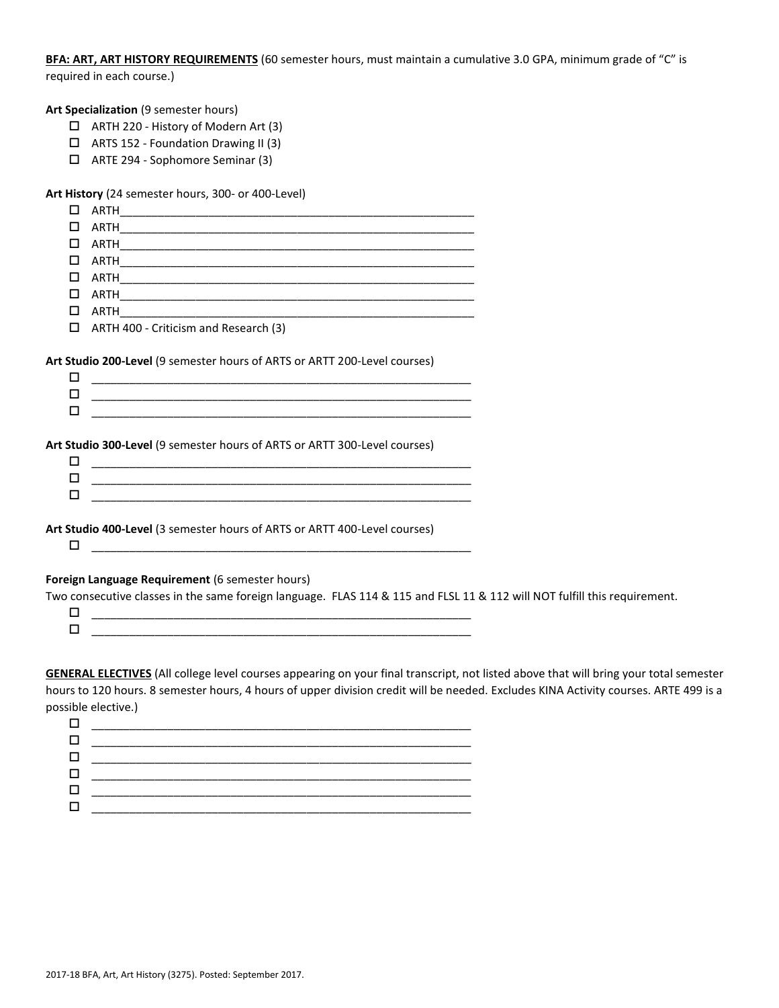**BFA: ART, ART HISTORY REQUIREMENTS** (60 semester hours, must maintain a cumulative 3.0 GPA, minimum grade of "C" is required in each course.)

**Art Specialization** (9 semester hours)

- ARTH 220 History of Modern Art (3)
- ARTS 152 Foundation Drawing II (3)
- ARTE 294 Sophomore Seminar (3)

**Art History** (24 semester hours, 300- or 400-Level)

| □  | ARTH<br><u> 1980 - Johann Barn, fransk politik (d. 1980)</u>                                                                 |  |
|----|------------------------------------------------------------------------------------------------------------------------------|--|
| п  | ARTH                                                                                                                         |  |
| □  |                                                                                                                              |  |
| □  | ARTH<br><u> 1989 - Johann Barn, amerikan bernama di sebagai bernama di sebagai bernama di sebagai bernama di sebagai ber</u> |  |
| □  |                                                                                                                              |  |
| □  |                                                                                                                              |  |
| П  |                                                                                                                              |  |
| П. | ARTH 400 - Criticism and Research (3)                                                                                        |  |
|    | Art Studio 200-Level (9 semester hours of ARTS or ARTT 200-Level courses)                                                    |  |
| □  |                                                                                                                              |  |
| □  | <u> 1989 - Johann Harry Harry Harry Harry Harry Harry Harry Harry Harry Harry Harry Harry Harry Harry Harry Harry</u>        |  |
| п  | <u> 1980 - John Stone, Amerikaansk politiker († 1908)</u>                                                                    |  |
| □  | Art Studio 300-Level (9 semester hours of ARTS or ARTT 300-Level courses)                                                    |  |
| □  | <u> 1980 - Johann Barn, mars ann an t-Alban ann an t-Alban ann an t-Alban ann an t-Alban ann an t-Alban ann an t-</u>        |  |
| п  |                                                                                                                              |  |
|    | Art Studio 400-Level (3 semester hours of ARTS or ARTT 400-Level courses)                                                    |  |
| □  |                                                                                                                              |  |
|    | Foreign Language Requirement (6 semester hours)                                                                              |  |
| □  | Two consecutive classes in the same foreign language. FLAS 114 & 115 and FLSL 11 & 112 will NOT fulfill this requirement.    |  |

**GENERAL ELECTIVES** (All college level courses appearing on your final transcript, not listed above that will bring your total semester hours to 120 hours. 8 semester hours, 4 hours of upper division credit will be needed. Excludes KINA Activity courses. ARTE 499 is a possible elective.)

 $\Box$